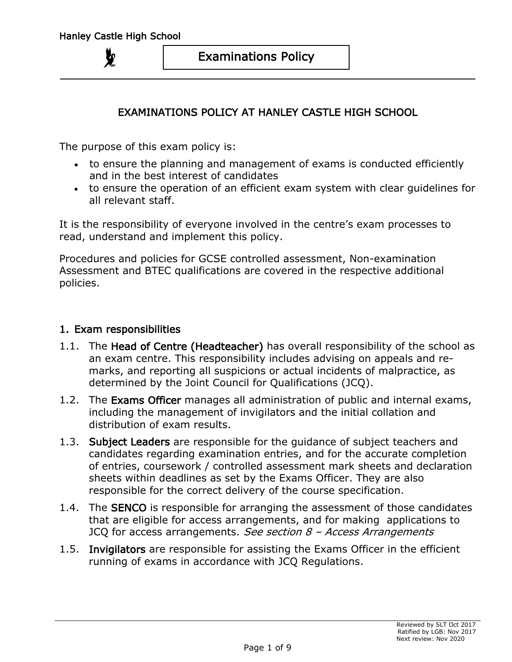# EXAMINATIONS POLICY AT HANLEY CASTLE HIGH SCHOOL

The purpose of this exam policy is:

- to ensure the planning and management of exams is conducted efficiently and in the best interest of candidates
- to ensure the operation of an efficient exam system with clear guidelines for all relevant staff.

It is the responsibility of everyone involved in the centre's exam processes to read, understand and implement this policy.

Procedures and policies for GCSE controlled assessment, Non-examination Assessment and BTEC qualifications are covered in the respective additional policies.

#### 1. Exam responsibilities

- 1.1. The Head of Centre (Headteacher) has overall responsibility of the school as an exam centre. This responsibility includes advising on appeals and remarks, and reporting all suspicions or actual incidents of malpractice, as determined by the Joint Council for Qualifications (JCQ).
- 1.2. The Exams Officer manages all administration of public and internal exams, including the management of invigilators and the initial collation and distribution of exam results.
- 1.3. Subject Leaders are responsible for the quidance of subject teachers and candidates regarding examination entries, and for the accurate completion of entries, coursework / controlled assessment mark sheets and declaration sheets within deadlines as set by the Exams Officer. They are also responsible for the correct delivery of the course specification.
- 1.4. The **SENCO** is responsible for arranging the assessment of those candidates that are eligible for access arrangements, and for making applications to JCQ for access arrangements. See section  $8$  - Access Arrangements
- 1.5. Invigilators are responsible for assisting the Exams Officer in the efficient running of exams in accordance with JCQ Regulations.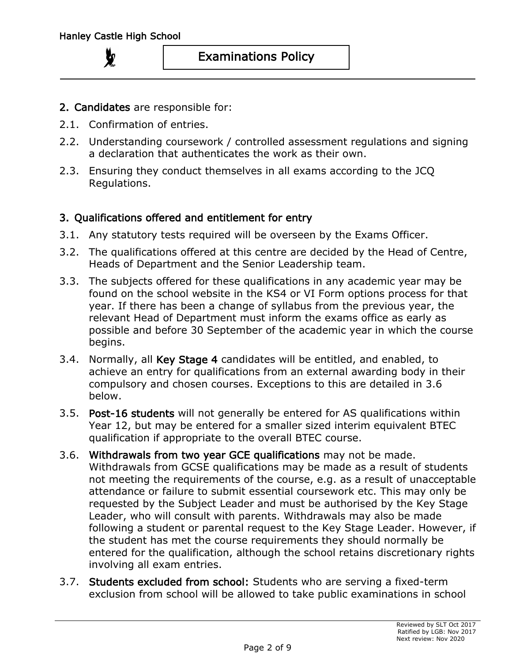- 2. Candidates are responsible for:
- 2.1. Confirmation of entries.
- 2.2. Understanding coursework / controlled assessment regulations and signing a declaration that authenticates the work as their own.
- 2.3. Ensuring they conduct themselves in all exams according to the JCQ Regulations.

## 3. Qualifications offered and entitlement for entry

- 3.1. Any statutory tests required will be overseen by the Exams Officer.
- 3.2. The qualifications offered at this centre are decided by the Head of Centre, Heads of Department and the Senior Leadership team.
- 3.3. The subjects offered for these qualifications in any academic year may be found on the school website in the KS4 or VI Form options process for that year. If there has been a change of syllabus from the previous year, the relevant Head of Department must inform the exams office as early as possible and before 30 September of the academic year in which the course begins.
- 3.4. Normally, all Key Stage 4 candidates will be entitled, and enabled, to achieve an entry for qualifications from an external awarding body in their compulsory and chosen courses. Exceptions to this are detailed in 3.6 below.
- 3.5. Post-16 students will not generally be entered for AS qualifications within Year 12, but may be entered for a smaller sized interim equivalent BTEC qualification if appropriate to the overall BTEC course.
- 3.6. Withdrawals from two year GCE qualifications may not be made. Withdrawals from GCSE qualifications may be made as a result of students not meeting the requirements of the course, e.g. as a result of unacceptable attendance or failure to submit essential coursework etc. This may only be requested by the Subject Leader and must be authorised by the Key Stage Leader, who will consult with parents. Withdrawals may also be made following a student or parental request to the Key Stage Leader. However, if the student has met the course requirements they should normally be entered for the qualification, although the school retains discretionary rights involving all exam entries.
- 3.7. Students excluded from school: Students who are serving a fixed-term exclusion from school will be allowed to take public examinations in school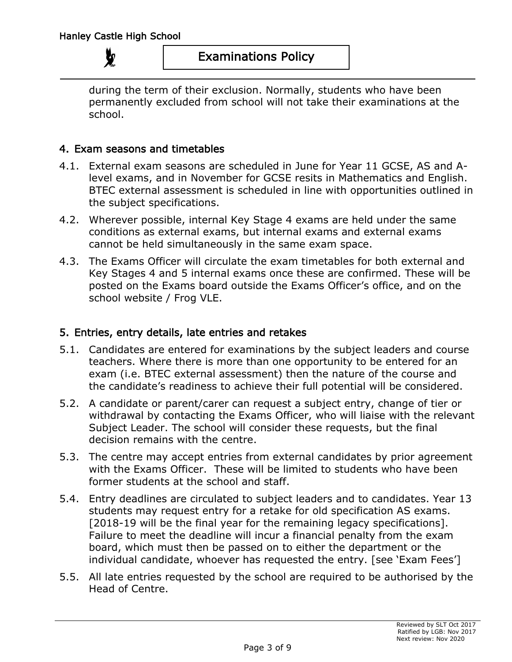# Examinations Policy

during the term of their exclusion. Normally, students who have been permanently excluded from school will not take their examinations at the school.

### 4. Exam seasons and timetables

- 4.1. External exam seasons are scheduled in June for Year 11 GCSE, AS and Alevel exams, and in November for GCSE resits in Mathematics and English. BTEC external assessment is scheduled in line with opportunities outlined in the subject specifications.
- 4.2. Wherever possible, internal Key Stage 4 exams are held under the same conditions as external exams, but internal exams and external exams cannot be held simultaneously in the same exam space.
- 4.3. The Exams Officer will circulate the exam timetables for both external and Key Stages 4 and 5 internal exams once these are confirmed. These will be posted on the Exams board outside the Exams Officer's office, and on the school website / Frog VLE.

#### 5. Entries, entry details, late entries and retakes

- 5.1. Candidates are entered for examinations by the subject leaders and course teachers. Where there is more than one opportunity to be entered for an exam (i.e. BTEC external assessment) then the nature of the course and the candidate's readiness to achieve their full potential will be considered.
- 5.2. A candidate or parent/carer can request a subject entry, change of tier or withdrawal by contacting the Exams Officer, who will liaise with the relevant Subject Leader. The school will consider these requests, but the final decision remains with the centre.
- 5.3. The centre may accept entries from external candidates by prior agreement with the Exams Officer. These will be limited to students who have been former students at the school and staff.
- 5.4. Entry deadlines are circulated to subject leaders and to candidates. Year 13 students may request entry for a retake for old specification AS exams. [2018-19 will be the final year for the remaining legacy specifications]. Failure to meet the deadline will incur a financial penalty from the exam board, which must then be passed on to either the department or the individual candidate, whoever has requested the entry. [see 'Exam Fees']
- 5.5. All late entries requested by the school are required to be authorised by the Head of Centre.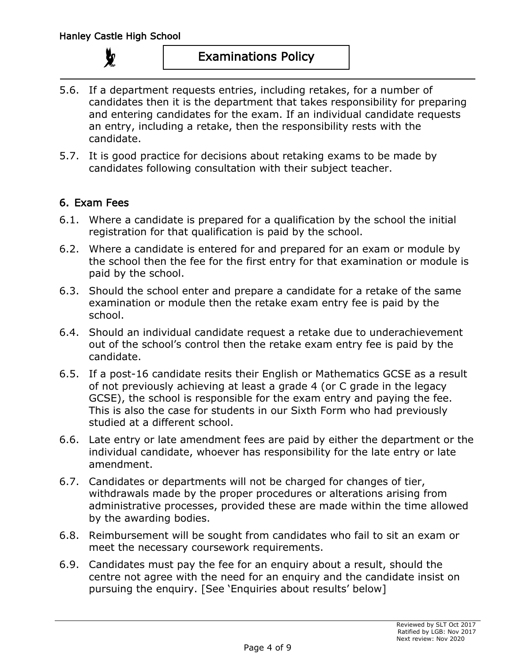

- 5.6. If a department requests entries, including retakes, for a number of candidates then it is the department that takes responsibility for preparing and entering candidates for the exam. If an individual candidate requests an entry, including a retake, then the responsibility rests with the candidate.
- 5.7. It is good practice for decisions about retaking exams to be made by candidates following consultation with their subject teacher.

# 6. Exam Fees

- 6.1. Where a candidate is prepared for a qualification by the school the initial registration for that qualification is paid by the school.
- 6.2. Where a candidate is entered for and prepared for an exam or module by the school then the fee for the first entry for that examination or module is paid by the school.
- 6.3. Should the school enter and prepare a candidate for a retake of the same examination or module then the retake exam entry fee is paid by the school.
- 6.4. Should an individual candidate request a retake due to underachievement out of the school's control then the retake exam entry fee is paid by the candidate.
- 6.5. If a post-16 candidate resits their English or Mathematics GCSE as a result of not previously achieving at least a grade 4 (or C grade in the legacy GCSE), the school is responsible for the exam entry and paying the fee. This is also the case for students in our Sixth Form who had previously studied at a different school.
- 6.6. Late entry or late amendment fees are paid by either the department or the individual candidate, whoever has responsibility for the late entry or late amendment.
- 6.7. Candidates or departments will not be charged for changes of tier, withdrawals made by the proper procedures or alterations arising from administrative processes, provided these are made within the time allowed by the awarding bodies.
- 6.8. Reimbursement will be sought from candidates who fail to sit an exam or meet the necessary coursework requirements.
- 6.9. Candidates must pay the fee for an enquiry about a result, should the centre not agree with the need for an enquiry and the candidate insist on pursuing the enquiry. [See 'Enquiries about results' below]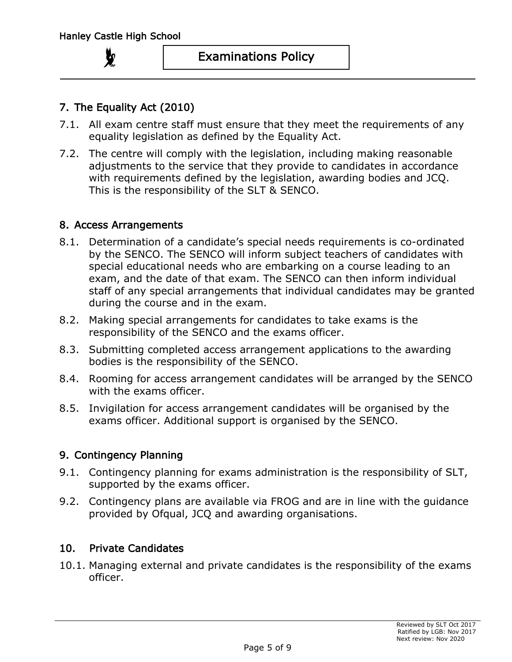# 7. The Equality Act (2010)

- 7.1. All exam centre staff must ensure that they meet the requirements of any equality legislation as defined by the Equality Act.
- 7.2. The centre will comply with the legislation, including making reasonable adjustments to the service that they provide to candidates in accordance with requirements defined by the legislation, awarding bodies and JCQ. This is the responsibility of the SLT & SENCO.

### 8. Access Arrangements

- 8.1. Determination of a candidate's special needs requirements is co-ordinated by the SENCO. The SENCO will inform subject teachers of candidates with special educational needs who are embarking on a course leading to an exam, and the date of that exam. The SENCO can then inform individual staff of any special arrangements that individual candidates may be granted during the course and in the exam.
- 8.2. Making special arrangements for candidates to take exams is the responsibility of the SENCO and the exams officer.
- 8.3. Submitting completed access arrangement applications to the awarding bodies is the responsibility of the SENCO.
- 8.4. Rooming for access arrangement candidates will be arranged by the SENCO with the exams officer.
- 8.5. Invigilation for access arrangement candidates will be organised by the exams officer. Additional support is organised by the SENCO.

## 9. Contingency Planning

- 9.1. Contingency planning for exams administration is the responsibility of SLT, supported by the exams officer.
- 9.2. Contingency plans are available via FROG and are in line with the guidance provided by Ofqual, JCQ and awarding organisations.

## 10. Private Candidates

10.1. Managing external and private candidates is the responsibility of the exams officer.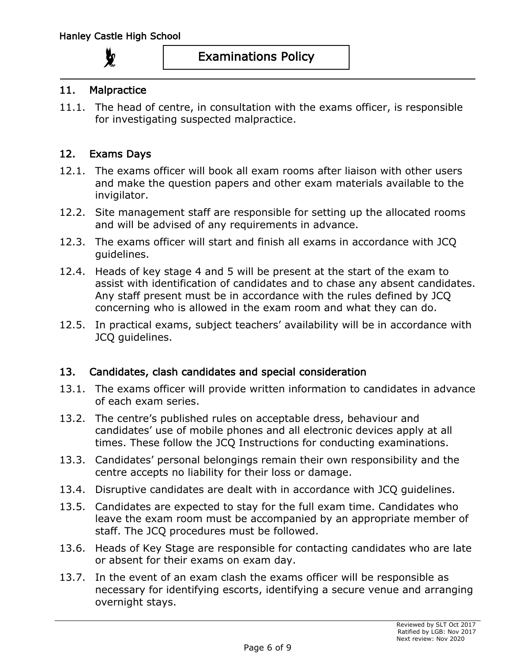#### 11. Malpractice

11.1. The head of centre, in consultation with the exams officer, is responsible for investigating suspected malpractice.

#### 12. Exams Days

- 12.1. The exams officer will book all exam rooms after liaison with other users and make the question papers and other exam materials available to the invigilator.
- 12.2. Site management staff are responsible for setting up the allocated rooms and will be advised of any requirements in advance.
- 12.3. The exams officer will start and finish all exams in accordance with JCQ guidelines.
- 12.4. Heads of key stage 4 and 5 will be present at the start of the exam to assist with identification of candidates and to chase any absent candidates. Any staff present must be in accordance with the rules defined by JCQ concerning who is allowed in the exam room and what they can do.
- 12.5. In practical exams, subject teachers' availability will be in accordance with JCQ guidelines.

#### 13. Candidates, clash candidates and special consideration

- 13.1. The exams officer will provide written information to candidates in advance of each exam series.
- 13.2. The centre's published rules on acceptable dress, behaviour and candidates' use of mobile phones and all electronic devices apply at all times. These follow the JCQ Instructions for conducting examinations.
- 13.3. Candidates' personal belongings remain their own responsibility and the centre accepts no liability for their loss or damage.
- 13.4. Disruptive candidates are dealt with in accordance with JCQ guidelines.
- 13.5. Candidates are expected to stay for the full exam time. Candidates who leave the exam room must be accompanied by an appropriate member of staff. The JCQ procedures must be followed.
- 13.6. Heads of Key Stage are responsible for contacting candidates who are late or absent for their exams on exam day.
- 13.7. In the event of an exam clash the exams officer will be responsible as necessary for identifying escorts, identifying a secure venue and arranging overnight stays.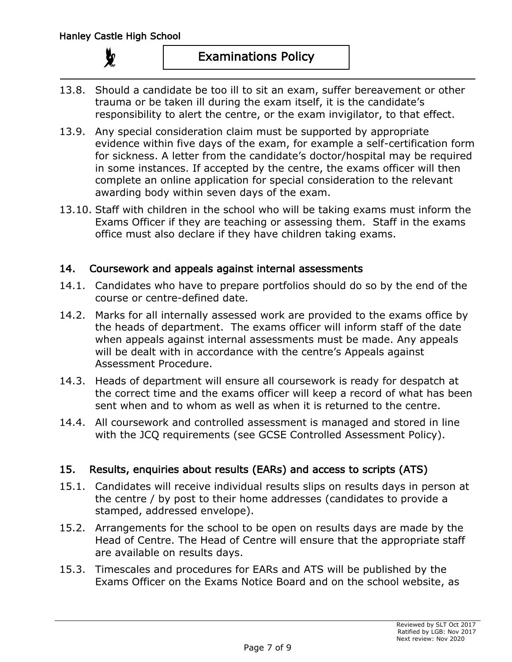- 13.8. Should a candidate be too ill to sit an exam, suffer bereavement or other trauma or be taken ill during the exam itself, it is the candidate's responsibility to alert the centre, or the exam invigilator, to that effect.
- 13.9. Any special consideration claim must be supported by appropriate evidence within five days of the exam, for example a self-certification form for sickness. A letter from the candidate's doctor/hospital may be required in some instances. If accepted by the centre, the exams officer will then complete an online application for special consideration to the relevant awarding body within seven days of the exam.
- 13.10. Staff with children in the school who will be taking exams must inform the Exams Officer if they are teaching or assessing them. Staff in the exams office must also declare if they have children taking exams.

### 14. Coursework and appeals against internal assessments

- 14.1. Candidates who have to prepare portfolios should do so by the end of the course or centre-defined date.
- 14.2. Marks for all internally assessed work are provided to the exams office by the heads of department. The exams officer will inform staff of the date when appeals against internal assessments must be made. Any appeals will be dealt with in accordance with the centre's Appeals against Assessment Procedure.
- 14.3. Heads of department will ensure all coursework is ready for despatch at the correct time and the exams officer will keep a record of what has been sent when and to whom as well as when it is returned to the centre.
- 14.4. All coursework and controlled assessment is managed and stored in line with the JCQ requirements (see GCSE Controlled Assessment Policy).

## 15. Results, enquiries about results (EARs) and access to scripts (ATS)

- 15.1. Candidates will receive individual results slips on results days in person at the centre / by post to their home addresses (candidates to provide a stamped, addressed envelope).
- 15.2. Arrangements for the school to be open on results days are made by the Head of Centre. The Head of Centre will ensure that the appropriate staff are available on results days.
- 15.3. Timescales and procedures for EARs and ATS will be published by the Exams Officer on the Exams Notice Board and on the school website, as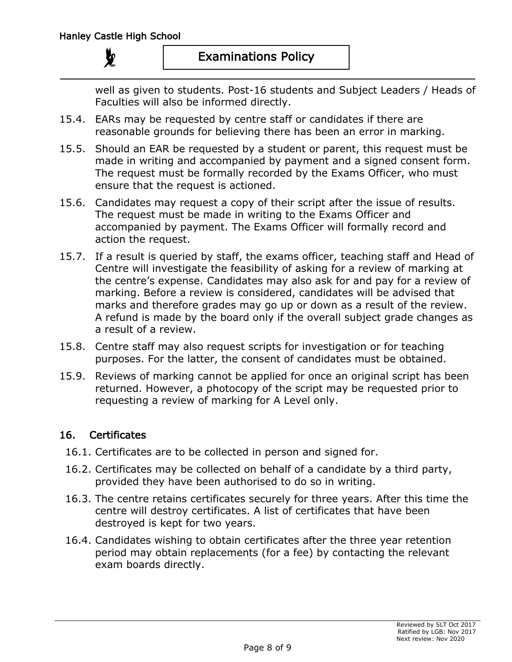well as given to students. Post-16 students and Subject Leaders / Heads of Faculties will also be informed directly.

- 15.4. EARs may be requested by centre staff or candidates if there are reasonable grounds for believing there has been an error in marking.
- 15.5. Should an EAR be requested by a student or parent, this request must be made in writing and accompanied by payment and a signed consent form. The request must be formally recorded by the Exams Officer, who must ensure that the request is actioned.
- 15.6. Candidates may request a copy of their script after the issue of results. The request must be made in writing to the Exams Officer and accompanied by payment. The Exams Officer will formally record and action the request.
- 15.7. If a result is queried by staff, the exams officer, teaching staff and Head of Centre will investigate the feasibility of asking for a review of marking at the centre's expense. Candidates may also ask for and pay for a review of marking. Before a review is considered, candidates will be advised that marks and therefore grades may go up or down as a result of the review. A refund is made by the board only if the overall subject grade changes as a result of a review.
- 15.8. Centre staff may also request scripts for investigation or for teaching purposes. For the latter, the consent of candidates must be obtained.
- 15.9. Reviews of marking cannot be applied for once an original script has been returned. However, a photocopy of the script may be requested prior to requesting a review of marking for A Level only.

## 16. Certificates

- 16.1. Certificates are to be collected in person and signed for.
- 16.2. Certificates may be collected on behalf of a candidate by a third party, provided they have been authorised to do so in writing.
- 16.3. The centre retains certificates securely for three years. After this time the centre will destroy certificates. A list of certificates that have been destroyed is kept for two years.
- 16.4. Candidates wishing to obtain certificates after the three year retention period may obtain replacements (for a fee) by contacting the relevant exam boards directly.